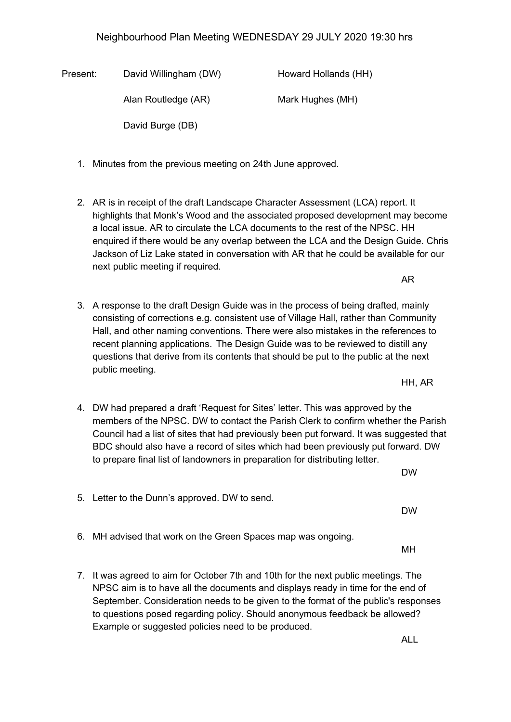## Neighbourhood Plan Meeting WEDNESDAY 29 JULY 2020 19:30 hrs

Present: David Willingham (DW) Howard Hollands (HH) Alan Routledge (AR) Mark Hughes (MH) David Burge (DB)

- 1. Minutes from the previous meeting on 24th June approved.
- 2. AR is in receipt of the draft Landscape Character Assessment (LCA) report. It highlights that Monk's Wood and the associated proposed development may become a local issue. AR to circulate the LCA documents to the rest of the NPSC. HH enquired if there would be any overlap between the LCA and the Design Guide. Chris Jackson of Liz Lake stated in conversation with AR that he could be available for our next public meeting if required.
- 3. A response to the draft Design Guide was in the process of being drafted, mainly consisting of corrections e.g. consistent use of Village Hall, rather than Community Hall, and other naming conventions. There were also mistakes in the references to recent planning applications. The Design Guide was to be reviewed to distill any questions that derive from its contents that should be put to the public at the next public meeting.
- 4. DW had prepared a draft 'Request for Sites' letter. This was approved by the members of the NPSC. DW to contact the Parish Clerk to confirm whether the Parish Council had a list of sites that had previously been put forward. It was suggested that BDC should also have a record of sites which had been previously put forward. DW to prepare final list of landowners in preparation for distributing letter.
- 5. Letter to the Dunn's approved. DW to send. DW
- 6. MH advised that work on the Green Spaces map was ongoing.
- 7. It was agreed to aim for October 7th and 10th for the next public meetings. The NPSC aim is to have all the documents and displays ready in time for the end of September. Consideration needs to be given to the format of the public's responses to questions posed regarding policy. Should anonymous feedback be allowed? Example or suggested policies need to be produced.

ALL

HH, AR

AR

DW

MH